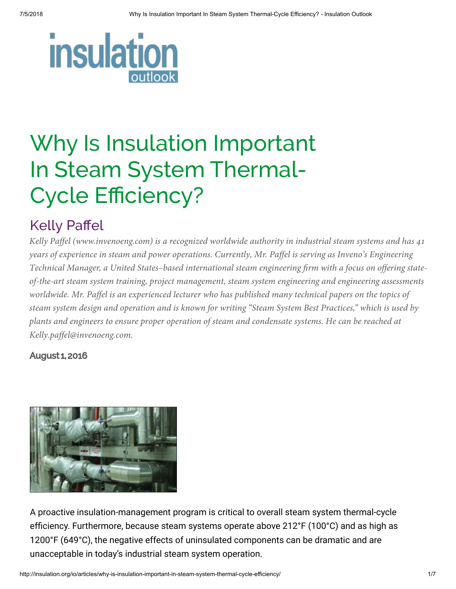

# Why Is Insulation Important In Steam System Thermal-Cycle Efficiency?

### Kelly Paffel

*Kelly Paffel (www.invenoeng.com) is a recognized worldwide authority in industrial steam systems and has 41 years of experience in steam and power operations. Currently, Mr. Paffel is serving as Inveno's Engineering Technical Manager, a United States–based international steam engineering firm with a focus on offering stateof-the-art steam system training, project management, steam system engineering and engineering assessments worldwide. Mr. Paffel is an experienced lecturer who has published many technical papers on the topics of steam system design and operation and is known for writing "Steam System Best Practices," which is used by plants and engineers to ensure proper operation of steam and condensate systems. He can be reached at Kelly.paffel@invenoeng.com.*

#### August 1, 2016



A proactive insulation-management program is critical to overall steam system thermal-cycle efficiency. Furthermore, because steam systems operate above 212°F (100°C) and as high as 1200°F (649°C), the negative effects of uninsulated components can be dramatic and are unacceptable in today's industrial steam system operation.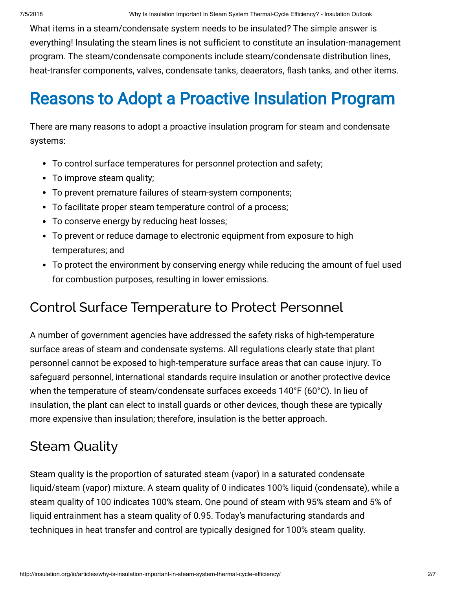What items in a steam/condensate system needs to be insulated? The simple answer is everything! Insulating the steam lines is not sufficient to constitute an insulation-management program. The steam/condensate components include steam/condensate distribution lines, heat-transfer components, valves, condensate tanks, deaerators, flash tanks, and other items.

### Reasons to Adopt a Proactive Insulation Program

There are many reasons to adopt a proactive insulation program for steam and condensate systems:

- To control surface temperatures for personnel protection and safety;
- To improve steam quality;
- To prevent premature failures of steam-system components;
- To facilitate proper steam temperature control of a process;
- To conserve energy by reducing heat losses;
- To prevent or reduce damage to electronic equipment from exposure to high temperatures; and
- To protect the environment by conserving energy while reducing the amount of fuel used for combustion purposes, resulting in lower emissions.

#### Control Surface Temperature to Protect Personnel

A number of government agencies have addressed the safety risks of high-temperature surface areas of steam and condensate systems. All regulations clearly state that plant personnel cannot be exposed to high-temperature surface areas that can cause injury. To safeguard personnel, international standards require insulation or another protective device when the temperature of steam/condensate surfaces exceeds 140°F (60°C). In lieu of insulation, the plant can elect to install guards or other devices, though these are typically more expensive than insulation; therefore, insulation is the better approach.

#### Steam Quality

Steam quality is the proportion of saturated steam (vapor) in a saturated condensate liquid/steam (vapor) mixture. A steam quality of 0 indicates 100% liquid (condensate), while a steam quality of 100 indicates 100% steam. One pound of steam with 95% steam and 5% of liquid entrainment has a steam quality of 0.95. Today's manufacturing standards and techniques in heat transfer and control are typically designed for 100% steam quality.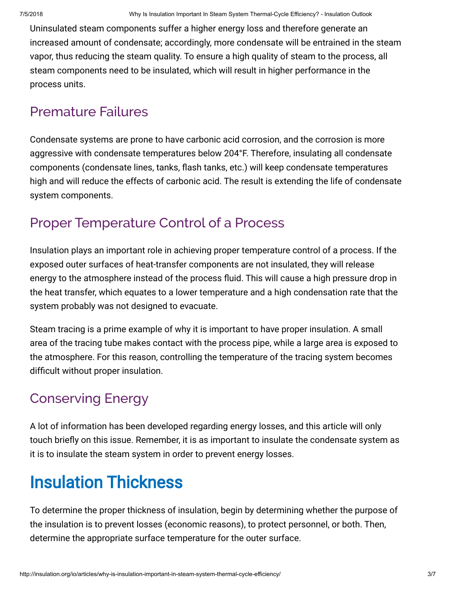Uninsulated steam components suffer a higher energy loss and therefore generate an increased amount of condensate; accordingly, more condensate will be entrained in the steam vapor, thus reducing the steam quality. To ensure a high quality of steam to the process, all steam components need to be insulated, which will result in higher performance in the process units.

#### Premature Failures

Condensate systems are prone to have carbonic acid corrosion, and the corrosion is more aggressive with condensate temperatures below 204°F. Therefore, insulating all condensate components (condensate lines, tanks, flash tanks, etc.) will keep condensate temperatures high and will reduce the effects of carbonic acid. The result is extending the life of condensate system components.

#### Proper Temperature Control of a Process

Insulation plays an important role in achieving proper temperature control of a process. If the exposed outer surfaces of heat-transfer components are not insulated, they will release energy to the atmosphere instead of the process fluid. This will cause a high pressure drop in the heat transfer, which equates to a lower temperature and a high condensation rate that the system probably was not designed to evacuate.

Steam tracing is a prime example of why it is important to have proper insulation. A small area of the tracing tube makes contact with the process pipe, while a large area is exposed to the atmosphere. For this reason, controlling the temperature of the tracing system becomes difficult without proper insulation.

### Conserving Energy

A lot of information has been developed regarding energy losses, and this article will only touch briefly on this issue. Remember, it is as important to insulate the condensate system as it is to insulate the steam system in order to prevent energy losses.

## Insulation Thickness

To determine the proper thickness of insulation, begin by determining whether the purpose of the insulation is to prevent losses (economic reasons), to protect personnel, or both. Then, determine the appropriate surface temperature for the outer surface.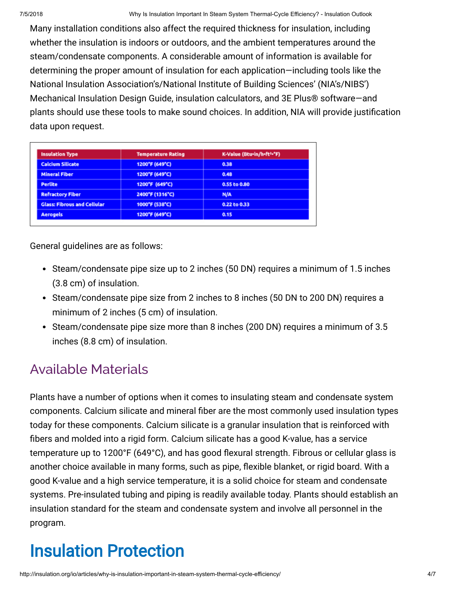Many installation conditions also affect the required thickness for insulation, including whether the insulation is indoors or outdoors, and the ambient temperatures around the steam/condensate components. A considerable amount of information is available for determining the proper amount of insulation for each application—including tools like the National Insulation Association's/National Institute of Building Sciences' (NIA's/NIBS') Mechanical Insulation Design Guide, insulation calculators, and 3E Plus® software—and plants should use these tools to make sound choices. In addition, NIA will provide justification data upon request.

| <b>Insulation Type</b><br><b>Calcium Silicate</b><br><b>Mineral Fiber</b><br><b>Perlite</b><br><b>Refractory Fiber</b> | <b>Temperature Rating</b><br>1200°F (649°C)<br>1200°F (649°C)<br>1200°F (649°C)<br>2400°F (1316°C) | K-Value (Btu+in/h+ft2+"F)<br>0.38<br>0.48<br>0.55 to 0.80<br>N/A |                                    |                |              |
|------------------------------------------------------------------------------------------------------------------------|----------------------------------------------------------------------------------------------------|------------------------------------------------------------------|------------------------------------|----------------|--------------|
|                                                                                                                        |                                                                                                    |                                                                  | <b>Glass: Fibrous and Cellular</b> | 1000°F (538°C) | 0.22 to 0.33 |
|                                                                                                                        |                                                                                                    |                                                                  | <b>Aerogels</b>                    | 1200°F (649°C) | 0.15         |

General guidelines are as follows:

- Steam/condensate pipe size up to 2 inches (50 DN) requires a minimum of 1.5 inches (3.8 cm) of insulation.
- Steam/condensate pipe size from 2 inches to 8 inches (50 DN to 200 DN) requires a minimum of 2 inches (5 cm) of insulation.
- Steam/condensate pipe size more than 8 inches (200 DN) requires a minimum of 3.5 inches (8.8 cm) of insulation.

### Available Materials

Plants have a number of options when it comes to insulating steam and condensate system components. Calcium silicate and mineral fiber are the most commonly used insulation types today for these components. Calcium silicate is a granular insulation that is reinforced with fibers and molded into a rigid form. Calcium silicate has a good K-value, has a service temperature up to 1200°F (649°C), and has good flexural strength. Fibrous or cellular glass is another choice available in many forms, such as pipe, flexible blanket, or rigid board. With a good K-value and a high service temperature, it is a solid choice for steam and condensate systems. Pre-insulated tubing and piping is readily available today. Plants should establish an insulation standard for the steam and condensate system and involve all personnel in the program.

## Insulation Protection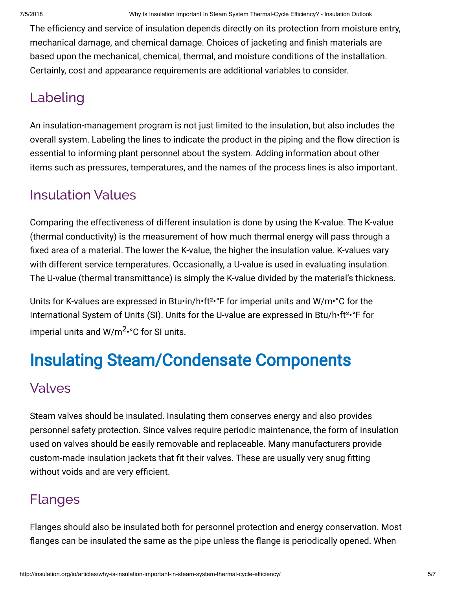The efficiency and service of insulation depends directly on its protection from moisture entry, mechanical damage, and chemical damage. Choices of jacketing and finish materials are based upon the mechanical, chemical, thermal, and moisture conditions of the installation. Certainly, cost and appearance requirements are additional variables to consider.

#### Labeling

An insulation-management program is not just limited to the insulation, but also includes the overall system. Labeling the lines to indicate the product in the piping and the flow direction is essential to informing plant personnel about the system. Adding information about other items such as pressures, temperatures, and the names of the process lines is also important.

#### Insulation Values

Comparing the effectiveness of different insulation is done by using the K-value. The K-value (thermal conductivity) is the measurement of how much thermal energy will pass through a fixed area of a material. The lower the K-value, the higher the insulation value. K-values vary with different service temperatures. Occasionally, a U-value is used in evaluating insulation. The U-value (thermal transmittance) is simply the K-value divided by the material's thickness.

Units for K-values are expressed in Btu•in/h•ft<sup>2</sup>•°F for imperial units and W/m•°C for the International System of Units (SI). Units for the U-value are expressed in Btu/h•ft<sup>2</sup>•°F for imperial units and W/m<sup>2</sup> •°C for SI units.

## Insulating Steam/Condensate Components

#### Valves

Steam valves should be insulated. Insulating them conserves energy and also provides personnel safety protection. Since valves require periodic maintenance, the form of insulation used on valves should be easily removable and replaceable. Many manufacturers provide custom-made insulation jackets that fit their valves. These are usually very snug fitting without voids and are very efficient.

### Flanges

Flanges should also be insulated both for personnel protection and energy conservation. Most flanges can be insulated the same as the pipe unless the flange is periodically opened. When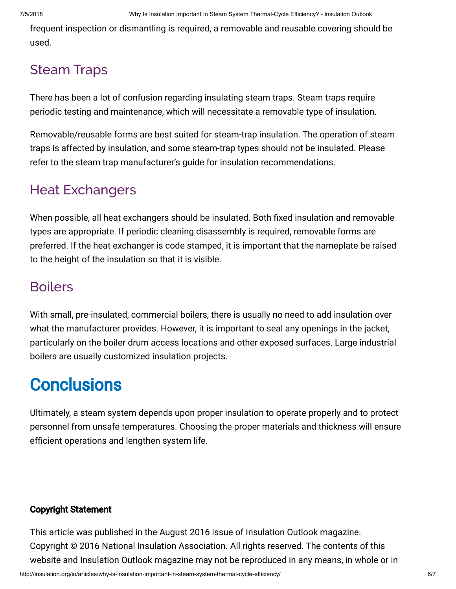frequent inspection or dismantling is required, a removable and reusable covering should be used.

### Steam Traps

There has been a lot of confusion regarding insulating steam traps. Steam traps require periodic testing and maintenance, which will necessitate a removable type of insulation.

Removable/reusable forms are best suited for steam-trap insulation. The operation of steam traps is affected by insulation, and some steam-trap types should not be insulated. Please refer to the steam trap manufacturer's guide for insulation recommendations.

### Heat Exchangers

When possible, all heat exchangers should be insulated. Both fixed insulation and removable types are appropriate. If periodic cleaning disassembly is required, removable forms are preferred. If the heat exchanger is code stamped, it is important that the nameplate be raised to the height of the insulation so that it is visible.

#### **Boilers**

With small, pre-insulated, commercial boilers, there is usually no need to add insulation over what the manufacturer provides. However, it is important to seal any openings in the jacket, particularly on the boiler drum access locations and other exposed surfaces. Large industrial boilers are usually customized insulation projects.

## **Conclusions**

Ultimately, a steam system depends upon proper insulation to operate properly and to protect personnel from unsafe temperatures. Choosing the proper materials and thickness will ensure efficient operations and lengthen system life.

#### Copyright Statement

This article was published in the August 2016 issue of Insulation Outlook magazine. Copyright © 2016 National Insulation Association. All rights reserved. The contents of this website and Insulation Outlook magazine may not be reproduced in any means, in whole or in